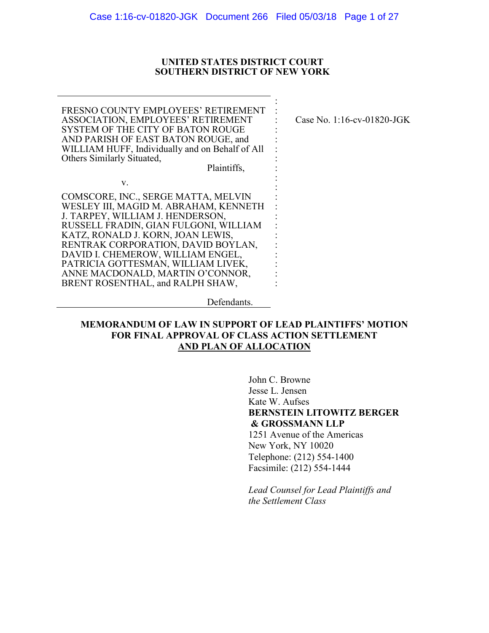### UNITED STATES DISTRICT COURT **SOUTHERN DISTRICT OF NEW YORK**

FRESNO COUNTY EMPLOYEES' RETIREMENT **ASSOCIATION, EMPLOYEES' RETIREMENT** SYSTEM OF THE CITY OF BATON ROUGE AND PARISH OF EAST BATON ROUGE, and WILLIAM HUFF, Individually and on Behalf of All Others Similarly Situated, Plaintiffs,

 $V_{\star}$ 

Case No. 1:16-cv-01820-JGK

COMSCORE, INC., SERGE MATTA, MELVIN WESLEY III, MAGID M. ABRAHAM, KENNETH J. TARPEY, WILLIAM J. HENDERSON, RUSSELL FRADIN, GIAN FULGONI, WILLIAM KATZ, RONALD J. KORN, JOAN LEWIS, RENTRAK CORPORATION, DAVID BOYLAN, DAVID I. CHEMEROW, WILLIAM ENGEL, PATRICIA GOTTESMAN, WILLIAM LIVEK, ANNE MACDONALD, MARTIN O'CONNOR, BRENT ROSENTHAL, and RALPH SHAW,

Defendants.

## **MEMORANDUM OF LAW IN SUPPORT OF LEAD PLAINTIFFS' MOTION FOR FINAL APPROVAL OF CLASS ACTION SETTLEMENT** AND PLAN OF ALLOCATION

John C. Browne Jesse L. Jensen Kate W. Aufses **BERNSTEIN LITOWITZ BERGER** & GROSSMANN LLP 1251 Avenue of the Americas New York, NY 10020 Telephone: (212) 554-1400 Facsimile: (212) 554-1444

Lead Counsel for Lead Plaintiffs and the Settlement Class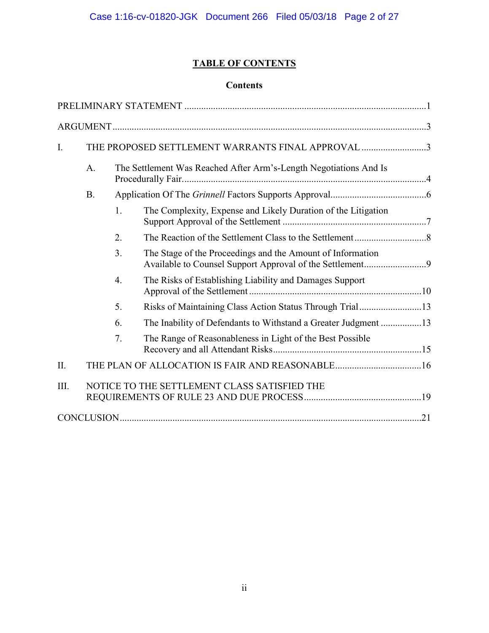# **TABLE OF CONTENTS**

# **Contents**

| $\mathbf{I}$ . | THE PROPOSED SETTLEMENT WARRANTS FINAL APPROVAL 3 |                                                                   |                                                                |  |  |
|----------------|---------------------------------------------------|-------------------------------------------------------------------|----------------------------------------------------------------|--|--|
|                | A.                                                | The Settlement Was Reached After Arm's-Length Negotiations And Is |                                                                |  |  |
|                | <b>B.</b>                                         |                                                                   |                                                                |  |  |
|                |                                                   | 1.                                                                | The Complexity, Expense and Likely Duration of the Litigation  |  |  |
|                |                                                   | 2.                                                                |                                                                |  |  |
|                |                                                   | 3.                                                                | The Stage of the Proceedings and the Amount of Information     |  |  |
|                |                                                   | $\overline{4}$ .                                                  | The Risks of Establishing Liability and Damages Support        |  |  |
|                |                                                   | 5.                                                                | Risks of Maintaining Class Action Status Through Trial13       |  |  |
|                |                                                   | 6.                                                                | The Inability of Defendants to Withstand a Greater Judgment 13 |  |  |
|                |                                                   | 7.                                                                | The Range of Reasonableness in Light of the Best Possible      |  |  |
| II.            |                                                   |                                                                   |                                                                |  |  |
| III.           |                                                   |                                                                   | NOTICE TO THE SETTLEMENT CLASS SATISFIED THE                   |  |  |
|                |                                                   |                                                                   |                                                                |  |  |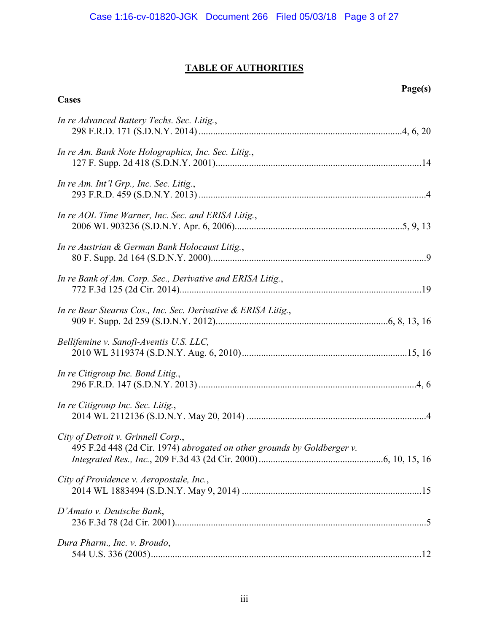# **TABLE OF AUTHORITIES**

**Cases** 

| In re Advanced Battery Techs. Sec. Litig.,                                                                    |  |
|---------------------------------------------------------------------------------------------------------------|--|
| In re Am. Bank Note Holographics, Inc. Sec. Litig.,                                                           |  |
| In re Am. Int'l Grp., Inc. Sec. Litig.,                                                                       |  |
| In re AOL Time Warner, Inc. Sec. and ERISA Litig.,                                                            |  |
| In re Austrian & German Bank Holocaust Litig.,                                                                |  |
| In re Bank of Am. Corp. Sec., Derivative and ERISA Litig.,                                                    |  |
| In re Bear Stearns Cos., Inc. Sec. Derivative & ERISA Litig.,                                                 |  |
| Bellifemine v. Sanofi-Aventis U.S. LLC,                                                                       |  |
| In re Citigroup Inc. Bond Litig.,                                                                             |  |
| In re Citigroup Inc. Sec. Litig.,                                                                             |  |
| City of Detroit v. Grinnell Corp.,<br>495 F.2d 448 (2d Cir. 1974) abrogated on other grounds by Goldberger v. |  |
| City of Providence v. Aeropostale, Inc.,                                                                      |  |
| D'Amato v. Deutsche Bank,                                                                                     |  |
| Dura Pharm., Inc. v. Broudo,                                                                                  |  |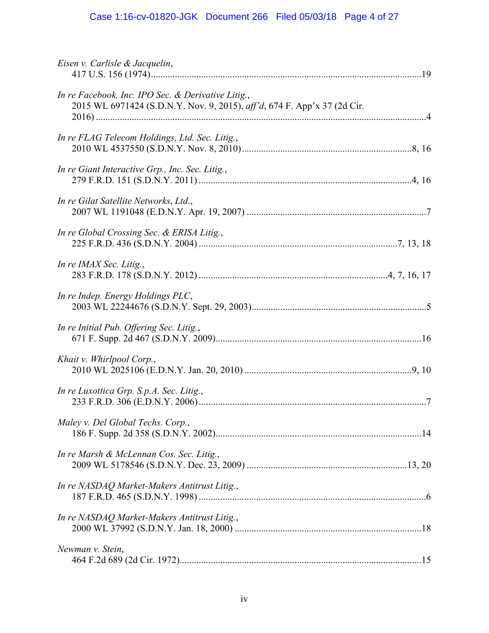# Case 1:16-cv-01820-JGK Document 266 Filed 05/03/18 Page 4 of 27

| Eisen v. Carlisle & Jacquelin,                                                                                                 |
|--------------------------------------------------------------------------------------------------------------------------------|
| In re Facebook, Inc. IPO Sec. & Derivative Litig.,<br>2015 WL 6971424 (S.D.N.Y. Nov. 9, 2015), aff'd, 674 F. App'x 37 (2d Cir. |
| In re FLAG Telecom Holdings, Ltd. Sec. Litig.,                                                                                 |
| In re Giant Interactive Grp., Inc. Sec. Litig.,                                                                                |
| In re Gilat Satellite Networks, Ltd.,                                                                                          |
| In re Global Crossing Sec. & ERISA Litig.,                                                                                     |
| In re IMAX Sec. Litig.,                                                                                                        |
| In re Indep. Energy Holdings PLC,                                                                                              |
| In re Initial Pub. Offering Sec. Litig.,                                                                                       |
| Khait v. Whirlpool Corp.,                                                                                                      |
| In re Luxottica Grp. S.p.A. Sec. Litig.,                                                                                       |
| Maley v. Del Global Techs. Corp.,                                                                                              |
| In re Marsh & McLennan Cos. Sec. Litig.,                                                                                       |
| In re NASDAQ Market-Makers Antitrust Litig.,                                                                                   |
| In re NASDAQ Market-Makers Antitrust Litig.,                                                                                   |
| Newman v. Stein,                                                                                                               |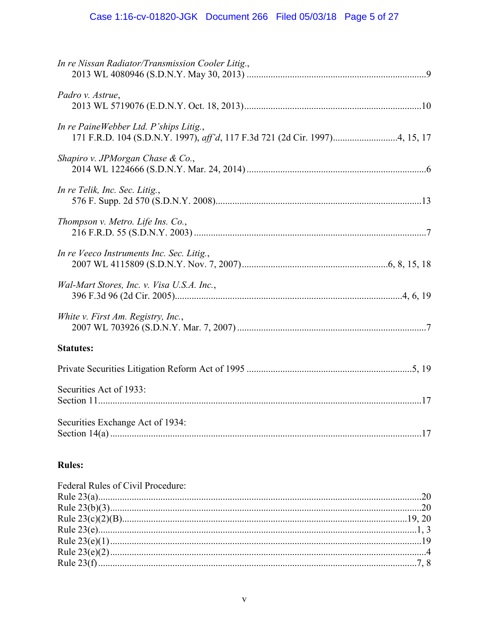# Case 1:16-cv-01820-JGK Document 266 Filed 05/03/18 Page 5 of 27

| In re Nissan Radiator/Transmission Cooler Litig., |
|---------------------------------------------------|
| Padro v. Astrue,                                  |
| In re PaineWebber Ltd. P'ships Litig.,            |
| Shapiro v. JPMorgan Chase & Co.,                  |
| In re Telik, Inc. Sec. Litig.,                    |
| Thompson v. Metro. Life Ins. Co.,                 |
| In re Veeco Instruments Inc. Sec. Litig.,         |
| Wal-Mart Stores, Inc. v. Visa U.S.A. Inc.,        |
| White v. First Am. Registry, Inc.,                |
| <b>Statutes:</b>                                  |
|                                                   |
| Securities Act of 1933:                           |
| Securities Exchange Act of 1934:                  |

# **Rules:**

| Federal Rules of Civil Procedure: |  |
|-----------------------------------|--|
|                                   |  |
|                                   |  |
|                                   |  |
|                                   |  |
|                                   |  |
|                                   |  |
|                                   |  |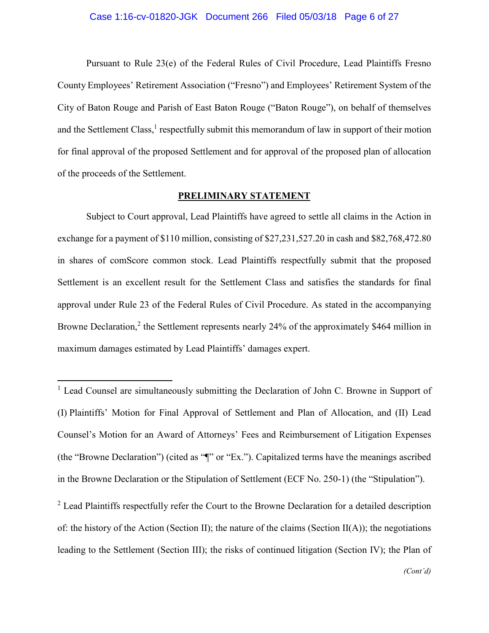### Case 1:16-cv-01820-JGK Document 266 Filed 05/03/18 Page 6 of 27

Pursuant to Rule 23(e) of the Federal Rules of Civil Procedure, Lead Plaintiffs Fresno County Employees' Retirement Association ("Fresno") and Employees' Retirement System of the City of Baton Rouge and Parish of East Baton Rouge ("Baton Rouge"), on behalf of themselves and the Settlement Class,<sup>1</sup> respectfully submit this memorandum of law in support of their motion for final approval of the proposed Settlement and for approval of the proposed plan of allocation of the proceeds of the Settlement.

### PRELIMINARY STATEMENT

Subject to Court approval, Lead Plaintiffs have agreed to settle all claims in the Action in exchange for a payment of \$110 million, consisting of \$27,231,527.20 in cash and \$82,768,472.80 in shares of comScore common stock. Lead Plaintiffs respectfully submit that the proposed Settlement is an excellent result for the Settlement Class and satisfies the standards for final approval under Rule 23 of the Federal Rules of Civil Procedure. As stated in the accompanying Browne Declaration.<sup>2</sup> the Settlement represents nearly 24% of the approximately \$464 million in maximum damages estimated by Lead Plaintiffs' damages expert.

<sup>&</sup>lt;sup>1</sup> Lead Counsel are simultaneously submitting the Declaration of John C. Browne in Support of (I) Plaintiffs' Motion for Final Approval of Settlement and Plan of Allocation, and (II) Lead Counsel's Motion for an Award of Attorneys' Fees and Reimbursement of Litigation Expenses (the "Browne Declaration") (cited as "["" or "Ex."). Capitalized terms have the meanings ascribed in the Browne Declaration or the Stipulation of Settlement (ECF No. 250-1) (the "Stipulation").

<sup>&</sup>lt;sup>2</sup> Lead Plaintiffs respectfully refer the Court to the Browne Declaration for a detailed description of: the history of the Action (Section II); the nature of the claims (Section II(A)); the negotiations leading to the Settlement (Section III); the risks of continued litigation (Section IV); the Plan of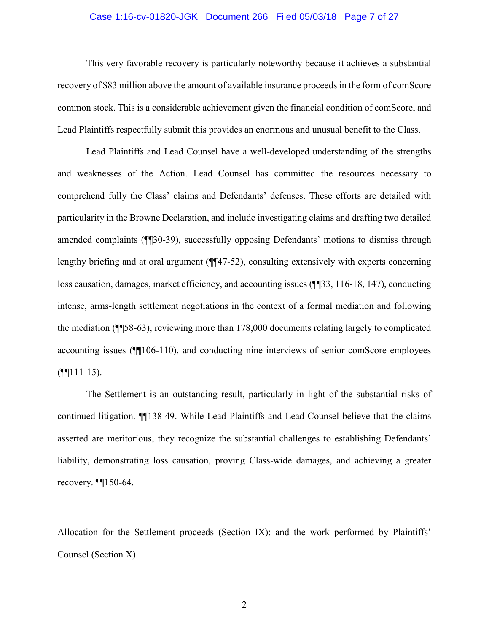### Case 1:16-cv-01820-JGK Document 266 Filed 05/03/18 Page 7 of 27

This very favorable recovery is particularly noteworthy because it achieves a substantial recovery of \$83 million above the amount of available insurance proceeds in the form of comScore common stock. This is a considerable achievement given the financial condition of comScore, and Lead Plaintiffs respectfully submit this provides an enormous and unusual benefit to the Class.

Lead Plaintiffs and Lead Counsel have a well-developed understanding of the strengths and weaknesses of the Action. Lead Counsel has committed the resources necessary to comprehend fully the Class' claims and Defendants' defenses. These efforts are detailed with particularity in the Browne Declaration, and include investigating claims and drafting two detailed amended complaints (¶30-39), successfully opposing Defendants' motions to dismiss through lengthy briefing and at oral argument  $(\sqrt{\frac{47}{52}})$ , consulting extensively with experts concerning loss causation, damages, market efficiency, and accounting issues (¶[33, 116-18, 147), conducting intense, arms-length settlement negotiations in the context of a formal mediation and following the mediation (¶58-63), reviewing more than 178,000 documents relating largely to complicated accounting issues (¶106-110), and conducting nine interviews of senior comScore employees  $($ 

The Settlement is an outstanding result, particularly in light of the substantial risks of continued litigation. **[1138-49.** While Lead Plaintiffs and Lead Counsel believe that the claims asserted are meritorious, they recognize the substantial challenges to establishing Defendants' liability, demonstrating loss causation, proving Class-wide damages, and achieving a greater recovery.  $\P$  $150-64$ .

Allocation for the Settlement proceeds (Section IX); and the work performed by Plaintiffs' Counsel (Section X).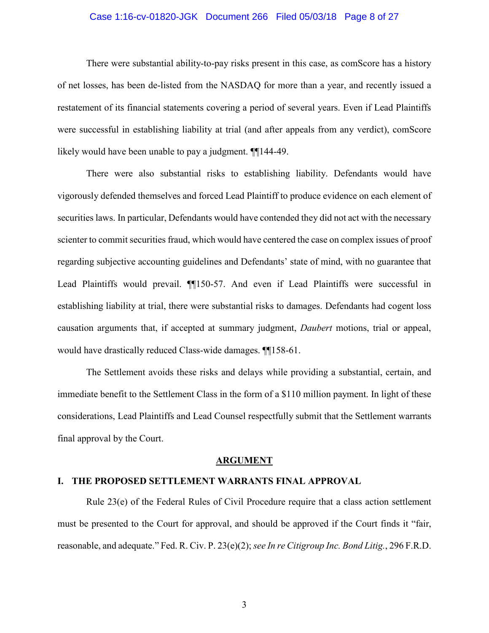### Case 1:16-cv-01820-JGK Document 266 Filed 05/03/18 Page 8 of 27

There were substantial ability-to-pay risks present in this case, as comScore has a history of net losses, has been de-listed from the NASDAQ for more than a year, and recently issued a restatement of its financial statements covering a period of several years. Even if Lead Plaintiffs were successful in establishing liability at trial (and after appeals from any verdict), comScore likely would have been unable to pay a judgment.  $\P$ 144-49.

There were also substantial risks to establishing liability. Defendants would have vigorously defended themselves and forced Lead Plaintiff to produce evidence on each element of securities laws. In particular, Defendants would have contended they did not act with the necessary scienter to commit securities fraud, which would have centered the case on complex issues of proof regarding subjective accounting guidelines and Defendants' state of mind, with no guarantee that Lead Plaintiffs would prevail. ¶150-57. And even if Lead Plaintiffs were successful in establishing liability at trial, there were substantial risks to damages. Defendants had cogent loss causation arguments that, if accepted at summary judgment, *Daubert* motions, trial or appeal, would have drastically reduced Class-wide damages. **[16]** 158-61.

The Settlement avoids these risks and delays while providing a substantial, certain, and immediate benefit to the Settlement Class in the form of a \$110 million payment. In light of these considerations, Lead Plaintiffs and Lead Counsel respectfully submit that the Settlement warrants final approval by the Court.

### **ARGUMENT**

### I. THE PROPOSED SETTLEMENT WARRANTS FINAL APPROVAL

Rule 23(e) of the Federal Rules of Civil Procedure require that a class action settlement must be presented to the Court for approval, and should be approved if the Court finds it "fair, reasonable, and adequate." Fed. R. Civ. P. 23(e)(2); see In re Citigroup Inc. Bond Litig., 296 F.R.D.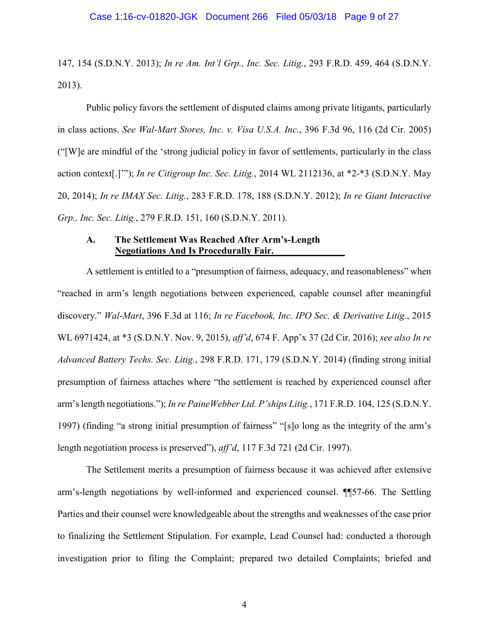147, 154 (S.D.N.Y. 2013); In re Am. Int'l Grp., Inc. Sec. Litig., 293 F.R.D. 459, 464 (S.D.N.Y.  $2013$ ).

Public policy favors the settlement of disputed claims among private litigants, particularly in class actions. See Wal-Mart Stores, Inc. v. Visa U.S.A. Inc., 396 F.3d 96, 116 (2d Cir. 2005) ("[W] e are mindful of the 'strong judicial policy in favor of settlements, particularly in the class action context[.]""); In re Citigroup Inc. Sec. Litig., 2014 WL 2112136, at \*2-\*3 (S.D.N.Y. May 20, 2014); In re IMAX Sec. Litig., 283 F.R.D. 178, 188 (S.D.N.Y. 2012); In re Giant Interactive Grp., Inc. Sec. Litig., 279 F.R.D. 151, 160 (S.D.N.Y. 2011).

### $\mathbf{A}$ . The Settlement Was Reached After Arm's-Length **Negotiations And Is Procedurally Fair.**

A settlement is entitled to a "presumption of fairness, adequacy, and reasonableness" when "reached in arm's length negotiations between experienced, capable counsel after meaningful discovery." Wal-Mart, 396 F.3d at 116; In re Facebook, Inc. IPO Sec. & Derivative Litig., 2015 WL 6971424, at \*3 (S.D.N.Y. Nov. 9, 2015), aff'd, 674 F. App'x 37 (2d Cir. 2016); see also In re Advanced Battery Techs. Sec. Litig., 298 F.R.D. 171, 179 (S.D.N.Y. 2014) (finding strong initial presumption of fairness attaches where "the settlement is reached by experienced counsel after arm's length negotiations."); In re PaineWebber Ltd. P'ships Litig., 171 F.R.D. 104, 125 (S.D.N.Y. 1997) (finding "a strong initial presumption of fairness" "[s]o long as the integrity of the arm's length negotiation process is preserved"),  $aff'd$ , 117 F.3d 721 (2d Cir. 1997).

The Settlement merits a presumption of fairness because it was achieved after extensive arm's-length negotiations by well-informed and experienced counsel. ¶ 57-66. The Settling Parties and their counsel were knowledgeable about the strengths and weaknesses of the case prior to finalizing the Settlement Stipulation. For example, Lead Counsel had: conducted a thorough investigation prior to filing the Complaint; prepared two detailed Complaints; briefed and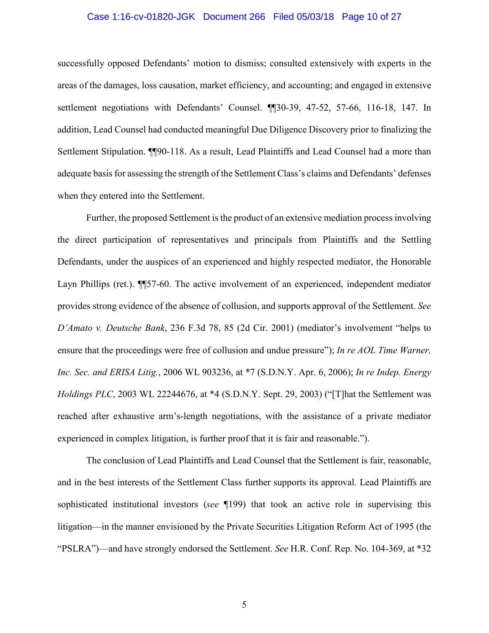### Case 1:16-cv-01820-JGK Document 266 Filed 05/03/18 Page 10 of 27

successfully opposed Defendants' motion to dismiss; consulted extensively with experts in the areas of the damages, loss causation, market efficiency, and accounting; and engaged in extensive settlement negotiations with Defendants' Counsel. [130-39, 47-52, 57-66, 116-18, 147. In addition, Lead Counsel had conducted meaningful Due Diligence Discovery prior to finalizing the Settlement Stipulation. 1190-118. As a result, Lead Plaintiffs and Lead Counsel had a more than adequate basis for assessing the strength of the Settlement Class's claims and Defendants' defenses when they entered into the Settlement.

Further, the proposed Settlement is the product of an extensive mediation process involving the direct participation of representatives and principals from Plaintiffs and the Settling Defendants, under the auspices of an experienced and highly respected mediator, the Honorable Layn Phillips (ret.).  $\P$  57-60. The active involvement of an experienced, independent mediator provides strong evidence of the absence of collusion, and supports approval of the Settlement. See D'Amato v. Deutsche Bank, 236 F.3d 78, 85 (2d Cir. 2001) (mediator's involvement "helps to ensure that the proceedings were free of collusion and undue pressure"); In re AOL Time Warner, Inc. Sec. and ERISA Litig., 2006 WL 903236, at \*7 (S.D.N.Y. Apr. 6, 2006); In re Indep. Energy *Holdings PLC*, 2003 WL 22244676, at \*4 (S.D.N.Y. Sept. 29, 2003) ("That the Settlement was reached after exhaustive arm's-length negotiations, with the assistance of a private mediator experienced in complex litigation, is further proof that it is fair and reasonable.").

The conclusion of Lead Plaintiffs and Lead Counsel that the Settlement is fair, reasonable, and in the best interests of the Settlement Class further supports its approval. Lead Plaintiffs are sophisticated institutional investors (see 199) that took an active role in supervising this litigation—in the manner envisioned by the Private Securities Litigation Reform Act of 1995 (the "PSLRA")—and have strongly endorsed the Settlement. See H.R. Conf. Rep. No. 104-369, at \*32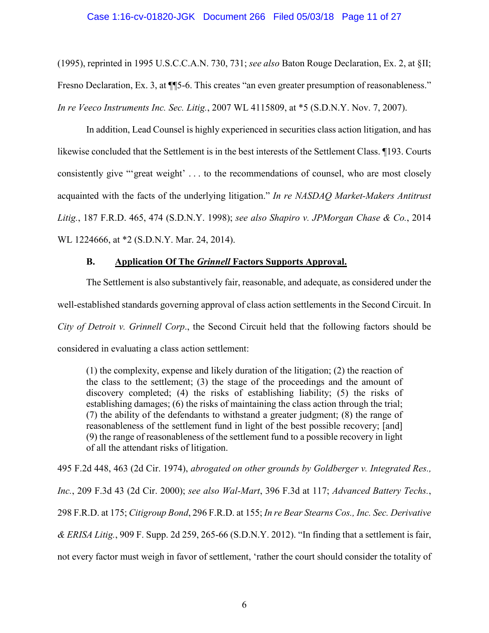(1995), reprinted in 1995 U.S.C.C.A.N. 730, 731; see also Baton Rouge Declaration, Ex. 2, at §II; Fresno Declaration, Ex. 3, at ¶ 5-6. This creates "an even greater presumption of reasonableness." In re Veeco Instruments Inc. Sec. Litig., 2007 WL 4115809, at \*5 (S.D.N.Y. Nov. 7, 2007).

In addition, Lead Counsel is highly experienced in securities class action litigation, and has likewise concluded that the Settlement is in the best interests of the Settlement Class. 193. Courts consistently give "'great weight' . . . to the recommendations of counsel, who are most closely acquainted with the facts of the underlying litigation." In re NASDAQ Market-Makers Antitrust Litig., 187 F.R.D. 465, 474 (S.D.N.Y. 1998); see also Shapiro v. JPMorgan Chase & Co., 2014 WL 1224666, at \*2 (S.D.N.Y. Mar. 24, 2014).

### $\mathbf{B}$ . **Application Of The Grinnell Factors Supports Approval.**

The Settlement is also substantively fair, reasonable, and adequate, as considered under the well-established standards governing approval of class action settlements in the Second Circuit. In City of Detroit v. Grinnell Corp., the Second Circuit held that the following factors should be considered in evaluating a class action settlement:

(1) the complexity, expense and likely duration of the litigation; (2) the reaction of the class to the settlement; (3) the stage of the proceedings and the amount of discovery completed; (4) the risks of establishing liability; (5) the risks of establishing damages; (6) the risks of maintaining the class action through the trial; (7) the ability of the defendants to withstand a greater judgment; (8) the range of reasonableness of the settlement fund in light of the best possible recovery; [and] (9) the range of reasonableness of the settlement fund to a possible recovery in light of all the attendant risks of litigation.

495 F.2d 448, 463 (2d Cir. 1974), abrogated on other grounds by Goldberger v. Integrated Res., Inc., 209 F.3d 43 (2d Cir. 2000); see also Wal-Mart, 396 F.3d at 117; Advanced Battery Techs., 298 F.R.D. at 175; Citigroup Bond, 296 F.R.D. at 155; In re Bear Stearns Cos., Inc. Sec. Derivative & ERISA Litig., 909 F. Supp. 2d 259, 265-66 (S.D.N.Y. 2012). "In finding that a settlement is fair, not every factor must weigh in favor of settlement, 'rather the court should consider the totality of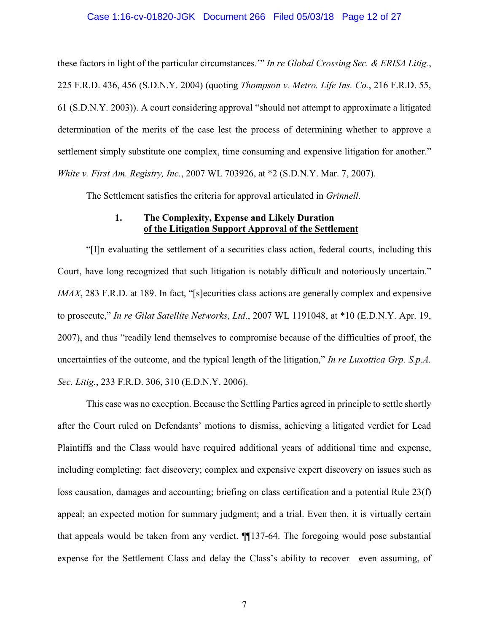### Case 1:16-cv-01820-JGK Document 266 Filed 05/03/18 Page 12 of 27

these factors in light of the particular circumstances." In re Global Crossing Sec. & ERISA Litig., 225 F.R.D. 436, 456 (S.D.N.Y. 2004) (quoting *Thompson v. Metro. Life Ins. Co.*, 216 F.R.D. 55, 61 (S.D.N.Y. 2003)). A court considering approval "should not attempt to approximate a litigated determination of the merits of the case lest the process of determining whether to approve a settlement simply substitute one complex, time consuming and expensive litigation for another." White v. First Am. Registry, Inc., 2007 WL 703926, at \*2 (S.D.N.Y. Mar. 7, 2007).

The Settlement satisfies the criteria for approval articulated in *Grinnell*.

### The Complexity, Expense and Likely Duration 1. of the Litigation Support Approval of the Settlement

"[I] n evaluating the settlement of a securities class action, federal courts, including this Court, have long recognized that such litigation is notably difficult and notoriously uncertain." *IMAX*, 283 F.R.D. at 189. In fact, "[s] ecurities class actions are generally complex and expensive to prosecute," In re Gilat Satellite Networks, Ltd., 2007 WL 1191048, at \*10 (E.D.N.Y. Apr. 19, 2007), and thus "readily lend themselves to compromise because of the difficulties of proof, the uncertainties of the outcome, and the typical length of the litigation," In re Luxottica Grp. S.p.A. Sec. Litig., 233 F.R.D. 306, 310 (E.D.N.Y. 2006).

This case was no exception. Because the Settling Parties agreed in principle to settle shortly after the Court ruled on Defendants' motions to dismiss, achieving a litigated verdict for Lead Plaintiffs and the Class would have required additional years of additional time and expense, including completing: fact discovery; complex and expensive expert discovery on issues such as loss causation, damages and accounting; briefing on class certification and a potential Rule 23(f) appeal; an expected motion for summary judgment; and a trial. Even then, it is virtually certain that appeals would be taken from any verdict. ¶[137-64. The foregoing would pose substantial expense for the Settlement Class and delay the Class's ability to recover—even assuming, of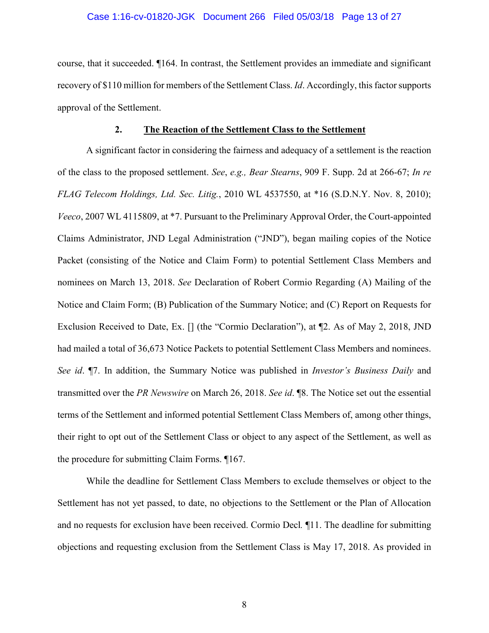# Case 1:16-cv-01820-JGK Document 266 Filed 05/03/18 Page 13 of 27

course, that it succeeded.  $\P$ 164. In contrast, the Settlement provides an immediate and significant recovery of \$110 million for members of the Settlement Class. *Id.* Accordingly, this factor supports approval of the Settlement.

#### $2.$ The Reaction of the Settlement Class to the Settlement

A significant factor in considering the fairness and adequacy of a settlement is the reaction of the class to the proposed settlement. See, e.g., Bear Stearns, 909 F. Supp. 2d at 266-67; In re FLAG Telecom Holdings, Ltd. Sec. Litig., 2010 WL 4537550, at \*16 (S.D.N.Y. Nov. 8, 2010); Veeco, 2007 WL 4115809, at \*7. Pursuant to the Preliminary Approval Order, the Court-appointed Claims Administrator, JND Legal Administration ("JND"), began mailing copies of the Notice Packet (consisting of the Notice and Claim Form) to potential Settlement Class Members and nominees on March 13, 2018. See Declaration of Robert Cormio Regarding (A) Mailing of the Notice and Claim Form; (B) Publication of the Summary Notice; and (C) Report on Requests for Exclusion Received to Date, Ex. [] (the "Cormio Declaration"), at ¶2. As of May 2, 2018, JND had mailed a total of 36,673 Notice Packets to potential Settlement Class Members and nominees. See id. ¶7. In addition, the Summary Notice was published in *Investor's Business Daily* and transmitted over the PR Newswire on March 26, 2018. See id. ¶8. The Notice set out the essential terms of the Settlement and informed potential Settlement Class Members of, among other things, their right to opt out of the Settlement Class or object to any aspect of the Settlement, as well as the procedure for submitting Claim Forms. [167.]

While the deadline for Settlement Class Members to exclude themselves or object to the Settlement has not yet passed, to date, no objections to the Settlement or the Plan of Allocation and no requests for exclusion have been received. Cormio Decl. ¶11. The deadline for submitting objections and requesting exclusion from the Settlement Class is May 17, 2018. As provided in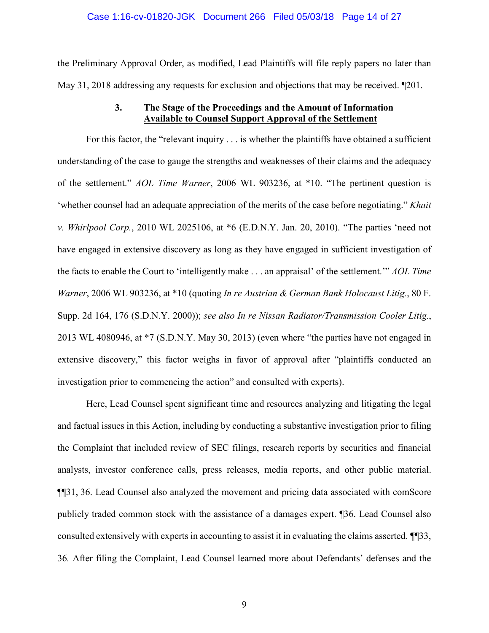the Preliminary Approval Order, as modified, Lead Plaintiffs will file reply papers no later than May 31, 2018 addressing any requests for exclusion and objections that may be received. [201.]

### The Stage of the Proceedings and the Amount of Information  $3.$ **Available to Counsel Support Approval of the Settlement**

For this factor, the "relevant inquiry... is whether the plaintiffs have obtained a sufficient understanding of the case to gauge the strengths and weaknesses of their claims and the adequacy of the settlement." AOL Time Warner, 2006 WL 903236, at \*10. "The pertinent question is 'whether counsel had an adequate appreciation of the merits of the case before negotiating." Khait v. Whirlpool Corp., 2010 WL 2025106, at \*6 (E.D.N.Y. Jan. 20, 2010). "The parties 'need not have engaged in extensive discovery as long as they have engaged in sufficient investigation of the facts to enable the Court to 'intelligently make ... an appraisal' of the settlement." AOL Time Warner, 2006 WL 903236, at \*10 (quoting In re Austrian & German Bank Holocaust Litig., 80 F. Supp. 2d 164, 176 (S.D.N.Y. 2000)); see also In re Nissan Radiator/Transmission Cooler Litig., 2013 WL 4080946, at \*7 (S.D.N.Y. May 30, 2013) (even where "the parties have not engaged in extensive discovery," this factor weighs in favor of approval after "plaintiffs conducted an investigation prior to commencing the action" and consulted with experts).

Here, Lead Counsel spent significant time and resources analyzing and litigating the legal and factual issues in this Action, including by conducting a substantive investigation prior to filing the Complaint that included review of SEC filings, research reports by securities and financial analysts, investor conference calls, press releases, media reports, and other public material. **[16]** 1, 36. Lead Counsel also analyzed the movement and pricing data associated with comScore publicly traded common stock with the assistance of a damages expert. [36. Lead Counsel also consulted extensively with experts in accounting to assist it in evaluating the claims asserted.  $\P$ [33, 36. After filing the Complaint, Lead Counsel learned more about Defendants' defenses and the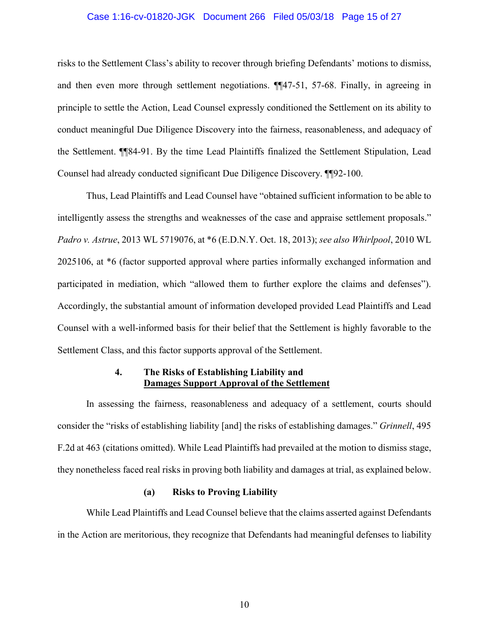### Case 1:16-cv-01820-JGK Document 266 Filed 05/03/18 Page 15 of 27

risks to the Settlement Class's ability to recover through briefing Defendants' motions to dismiss, and then even more through settlement negotiations. ¶[47-51, 57-68. Finally, in agreeing in principle to settle the Action, Lead Counsel expressly conditioned the Settlement on its ability to conduct meaningful Due Diligence Discovery into the fairness, reasonableness, and adequacy of the Settlement. The 4-91. By the time Lead Plaintiffs finalized the Settlement Stipulation, Lead Counsel had already conducted significant Due Diligence Discovery. [192-100.]

Thus, Lead Plaintiffs and Lead Counsel have "obtained sufficient information to be able to intelligently assess the strengths and weaknesses of the case and appraise settlement proposals." Padro v. Astrue, 2013 WL 5719076, at \*6 (E.D.N.Y. Oct. 18, 2013); see also Whirlpool, 2010 WL 2025106, at \*6 (factor supported approval where parties informally exchanged information and participated in mediation, which "allowed them to further explore the claims and defenses"). Accordingly, the substantial amount of information developed provided Lead Plaintiffs and Lead Counsel with a well-informed basis for their belief that the Settlement is highly favorable to the Settlement Class, and this factor supports approval of the Settlement.

### $\overline{4}$ . The Risks of Establishing Liability and **Damages Support Approval of the Settlement**

In assessing the fairness, reasonableness and adequacy of a settlement, courts should consider the "risks of establishing liability [and] the risks of establishing damages." *Grinnell*, 495 F.2d at 463 (citations omitted). While Lead Plaintiffs had prevailed at the motion to dismiss stage, they nonetheless faced real risks in proving both liability and damages at trial, as explained below.

#### $(a)$ **Risks to Proving Liability**

While Lead Plaintiffs and Lead Counsel believe that the claims asserted against Defendants in the Action are meritorious, they recognize that Defendants had meaningful defenses to liability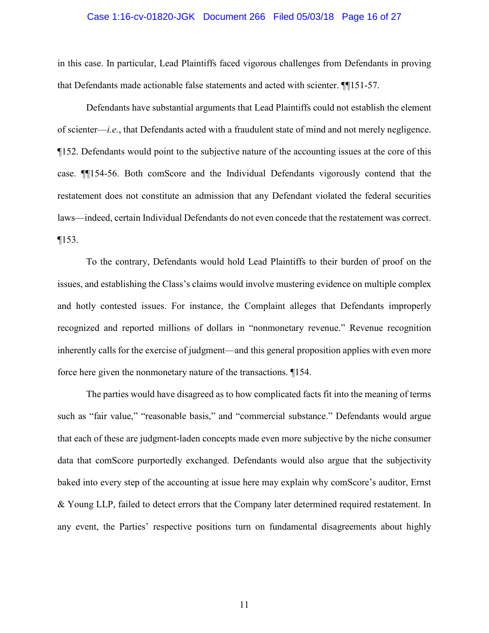## Case 1:16-cv-01820-JGK Document 266 Filed 05/03/18 Page 16 of 27

in this case. In particular, Lead Plaintiffs faced vigorous challenges from Defendants in proving that Defendants made actionable false statements and acted with scienter.  $\P$ [151-57.

Defendants have substantial arguments that Lead Plaintiffs could not establish the element of scienter—*i.e.*, that Defendants acted with a fraudulent state of mind and not merely negligence. ¶152. Defendants would point to the subjective nature of the accounting issues at the core of this case. **T**154-56. Both comScore and the Individual Defendants vigorously contend that the restatement does not constitute an admission that any Defendant violated the federal securities laws—indeed, certain Individual Defendants do not even concede that the restatement was correct.  $\P 153.$ 

To the contrary, Defendants would hold Lead Plaintiffs to their burden of proof on the issues, and establishing the Class's claims would involve mustering evidence on multiple complex and hotly contested issues. For instance, the Complaint alleges that Defendants improperly recognized and reported millions of dollars in "nonmonetary revenue." Revenue recognition inherently calls for the exercise of judgment—and this general proposition applies with even more force here given the nonmonetary nature of the transactions. 1154.

The parties would have disagreed as to how complicated facts fit into the meaning of terms such as "fair value," "reasonable basis," and "commercial substance." Defendants would argue that each of these are judgment-laden concepts made even more subjective by the niche consumer data that comScore purportedly exchanged. Defendants would also argue that the subjectivity baked into every step of the accounting at issue here may explain why comScore's auditor, Ernst & Young LLP, failed to detect errors that the Company later determined required restatement. In any event, the Parties' respective positions turn on fundamental disagreements about highly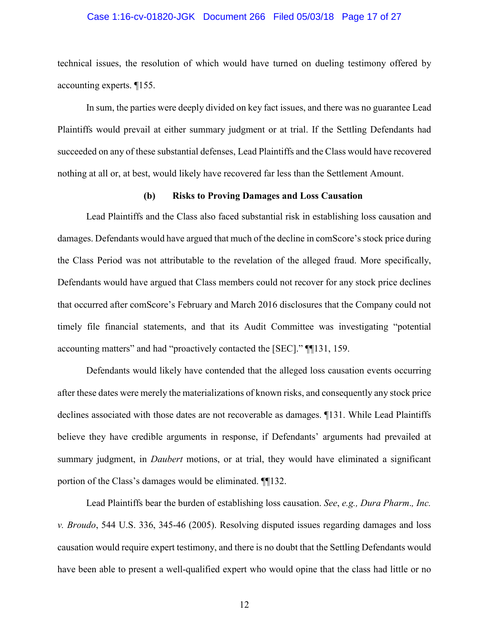### Case 1:16-cv-01820-JGK Document 266 Filed 05/03/18 Page 17 of 27

technical issues, the resolution of which would have turned on dueling testimony offered by accounting experts. 1155.

In sum, the parties were deeply divided on key fact issues, and there was no guarantee Lead Plaintiffs would prevail at either summary judgment or at trial. If the Settling Defendants had succeeded on any of these substantial defenses, Lead Plaintiffs and the Class would have recovered nothing at all or, at best, would likely have recovered far less than the Settlement Amount.

#### **Risks to Proving Damages and Loss Causation** (b)

Lead Plaintiffs and the Class also faced substantial risk in establishing loss causation and damages. Defendants would have argued that much of the decline in comScore's stock price during the Class Period was not attributable to the revelation of the alleged fraud. More specifically, Defendants would have argued that Class members could not recover for any stock price declines that occurred after comScore's February and March 2016 disclosures that the Company could not timely file financial statements, and that its Audit Committee was investigating "potential accounting matters" and had "proactively contacted the [SEC]." [[131, 159.]

Defendants would likely have contended that the alleged loss causation events occurring after these dates were merely the materializations of known risks, and consequently any stock price declines associated with those dates are not recoverable as damages. 1131. While Lead Plaintiffs believe they have credible arguments in response, if Defendants' arguments had prevailed at summary judgment, in *Daubert* motions, or at trial, they would have eliminated a significant portion of the Class's damages would be eliminated. ¶132.

Lead Plaintiffs bear the burden of establishing loss causation. See, e.g., Dura Pharm., Inc. v. Broudo, 544 U.S. 336, 345-46 (2005). Resolving disputed issues regarding damages and loss causation would require expert testimony, and there is no doubt that the Settling Defendants would have been able to present a well-qualified expert who would opine that the class had little or no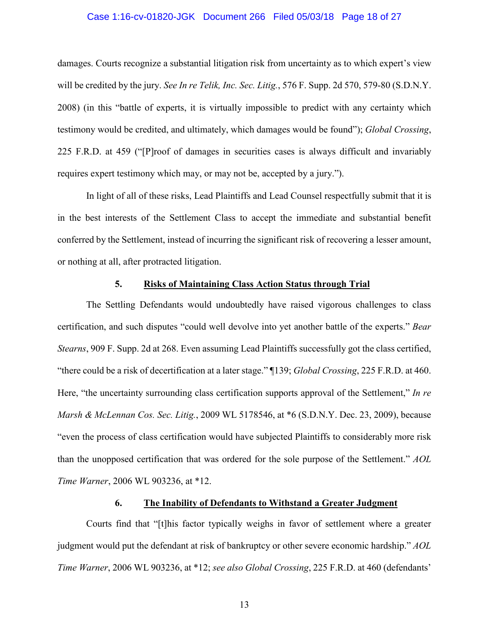### Case 1:16-cv-01820-JGK Document 266 Filed 05/03/18 Page 18 of 27

damages. Courts recognize a substantial litigation risk from uncertainty as to which expert's view will be credited by the jury. See In re Telik, Inc. Sec. Litig., 576 F. Supp. 2d 570, 579-80 (S.D.N.Y. 2008) (in this "battle of experts, it is virtually impossible to predict with any certainty which testimony would be credited, and ultimately, which damages would be found"); Global Crossing, 225 F.R.D. at 459 ("Proof of damages in securities cases is always difficult and invariably requires expert testimony which may, or may not be, accepted by a jury.").

In light of all of these risks, Lead Plaintiffs and Lead Counsel respectfully submit that it is in the best interests of the Settlement Class to accept the immediate and substantial benefit conferred by the Settlement, instead of incurring the significant risk of recovering a lesser amount, or nothing at all, after protracted litigation.

#### **Risks of Maintaining Class Action Status through Trial** 5.

The Settling Defendants would undoubtedly have raised vigorous challenges to class certification, and such disputes "could well devolve into yet another battle of the experts." Bear *Stearns*, 909 F. Supp. 2d at 268. Even assuming Lead Plaintiffs successfully got the class certified, "there could be a risk of decertification at a later stage." [139; *Global Crossing*, 225 F.R.D. at 460. Here, "the uncertainty surrounding class certification supports approval of the Settlement," In re Marsh & McLennan Cos. Sec. Litig., 2009 WL 5178546, at \*6 (S.D.N.Y. Dec. 23, 2009), because "even the process of class certification would have subjected Plaintiffs to considerably more risk than the unopposed certification that was ordered for the sole purpose of the Settlement." AOL Time Warner, 2006 WL 903236, at \*12.

#### The Inability of Defendants to Withstand a Greater Judgment 6.

Courts find that "[t] his factor typically weighs in favor of settlement where a greater judgment would put the defendant at risk of bankruptcy or other severe economic hardship." AOL Time Warner, 2006 WL 903236, at \*12; see also Global Crossing, 225 F.R.D. at 460 (defendants'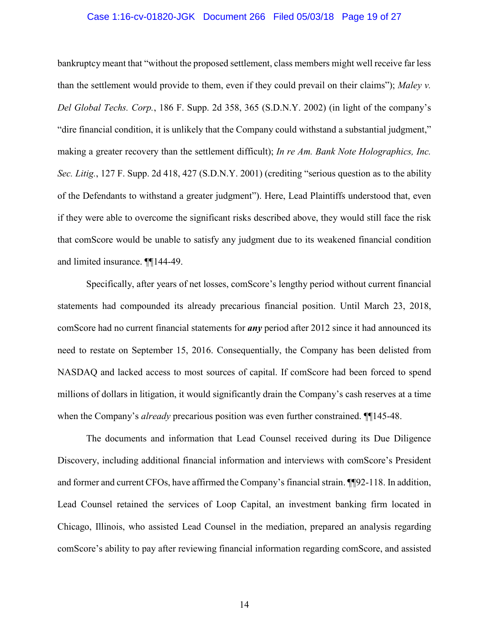### Case 1:16-cv-01820-JGK Document 266 Filed 05/03/18 Page 19 of 27

bankruptcy meant that "without the proposed settlement, class members might well receive far less than the settlement would provide to them, even if they could prevail on their claims"); Maley v. Del Global Techs. Corp., 186 F. Supp. 2d 358, 365 (S.D.N.Y. 2002) (in light of the company's "dire financial condition, it is unlikely that the Company could withstand a substantial judgment," making a greater recovery than the settlement difficult); In re Am. Bank Note Holographics, Inc. Sec. Litig., 127 F. Supp. 2d 418, 427 (S.D.N.Y. 2001) (crediting "serious question as to the ability of the Defendants to withstand a greater judgment"). Here, Lead Plaintiffs understood that, even if they were able to overcome the significant risks described above, they would still face the risk that comScore would be unable to satisfy any judgment due to its weakened financial condition and limited insurance. ¶[144-49.

Specifically, after years of net losses, comScore's lengthy period without current financial statements had compounded its already precarious financial position. Until March 23, 2018, comScore had no current financial statements for *any* period after 2012 since it had announced its need to restate on September 15, 2016. Consequentially, the Company has been delisted from NASDAQ and lacked access to most sources of capital. If comScore had been forced to spend millions of dollars in litigation, it would significantly drain the Company's cash reserves at a time when the Company's *already* precarious position was even further constrained.  $\P$ [145-48.

The documents and information that Lead Counsel received during its Due Diligence Discovery, including additional financial information and interviews with comScore's President and former and current CFOs, have affirmed the Company's financial strain. [192-118. In addition, Lead Counsel retained the services of Loop Capital, an investment banking firm located in Chicago, Illinois, who assisted Lead Counsel in the mediation, prepared an analysis regarding comScore's ability to pay after reviewing financial information regarding comScore, and assisted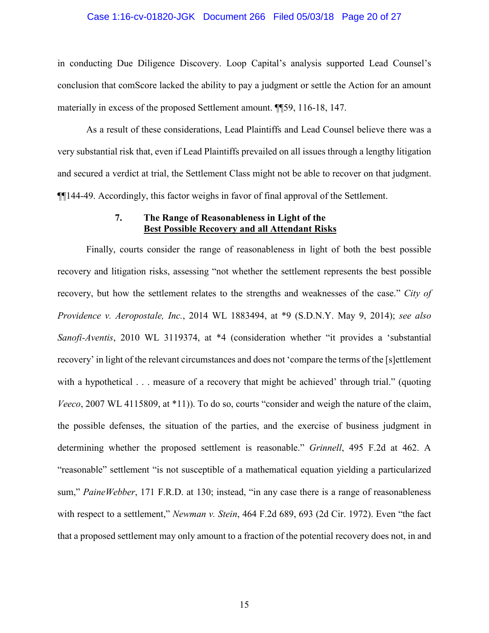# Case 1:16-cv-01820-JGK Document 266 Filed 05/03/18 Page 20 of 27

in conducting Due Diligence Discovery. Loop Capital's analysis supported Lead Counsel's conclusion that comScore lacked the ability to pay a judgment or settle the Action for an amount materially in excess of the proposed Settlement amount. [[59, 116-18, 147.]

As a result of these considerations, Lead Plaintiffs and Lead Counsel believe there was a very substantial risk that, even if Lead Plaintiffs prevailed on all issues through a lengthy litigation and secured a verdict at trial, the Settlement Class might not be able to recover on that judgment.  $\P$ [144-49. Accordingly, this factor weighs in favor of final approval of the Settlement.

### 7. The Range of Reasonableness in Light of the **Best Possible Recovery and all Attendant Risks**

Finally, courts consider the range of reasonableness in light of both the best possible recovery and litigation risks, assessing "not whether the settlement represents the best possible recovery, but how the settlement relates to the strengths and weaknesses of the case." City of Providence v. Aeropostale, Inc., 2014 WL 1883494, at \*9 (S.D.N.Y. May 9, 2014); see also Sanofi-Aventis, 2010 WL 3119374, at \*4 (consideration whether "it provides a 'substantial recovery' in light of the relevant circumstances and does not 'compare the terms of the [s]ettlement with a hypothetical . . . measure of a recovery that might be achieved' through trial." (quoting Veeco, 2007 WL 4115809, at \*11)). To do so, courts "consider and weigh the nature of the claim, the possible defenses, the situation of the parties, and the exercise of business judgment in determining whether the proposed settlement is reasonable." Grinnell, 495 F.2d at 462. A "reasonable" settlement "is not susceptible of a mathematical equation yielding a particularized sum," PaineWebber, 171 F.R.D. at 130; instead, "in any case there is a range of reasonableness with respect to a settlement," Newman v. Stein, 464 F.2d 689, 693 (2d Cir. 1972). Even "the fact that a proposed settlement may only amount to a fraction of the potential recovery does not, in and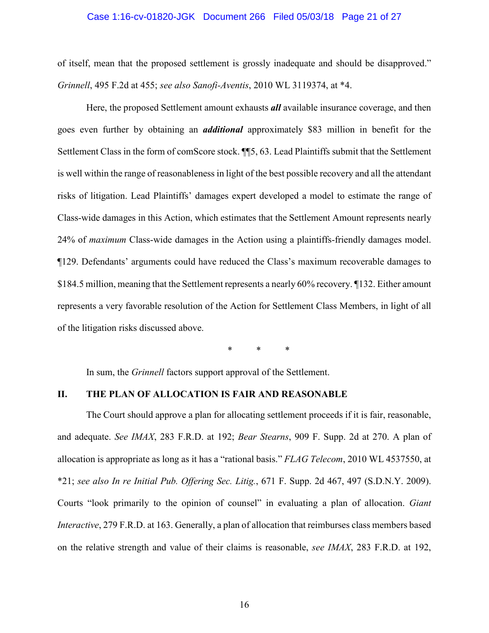# Case 1:16-cv-01820-JGK Document 266 Filed 05/03/18 Page 21 of 27

of itself, mean that the proposed settlement is grossly inadequate and should be disapproved." Grinnell, 495 F.2d at 455; see also Sanofi-Aventis, 2010 WL 3119374, at \*4.

Here, the proposed Settlement amount exhausts *all* available insurance coverage, and then goes even further by obtaining an *additional* approximately \$83 million in benefit for the Settlement Class in the form of comScore stock. ¶ 5, 63. Lead Plaintiffs submit that the Settlement is well within the range of reasonableness in light of the best possible recovery and all the attendant risks of litigation. Lead Plaintiffs' damages expert developed a model to estimate the range of Class-wide damages in this Action, which estimates that the Settlement Amount represents nearly 24% of *maximum* Class-wide damages in the Action using a plaintiffs-friendly damages model. ¶129. Defendants' arguments could have reduced the Class's maximum recoverable damages to \$184.5 million, meaning that the Settlement represents a nearly 60% recovery. 1132. Either amount represents a very favorable resolution of the Action for Settlement Class Members, in light of all of the litigation risks discussed above.

In sum, the *Grinnell* factors support approval of the Settlement.

#### II. THE PLAN OF ALLOCATION IS FAIR AND REASONABLE

The Court should approve a plan for allocating settlement proceeds if it is fair, reasonable, and adequate. See IMAX, 283 F.R.D. at 192; Bear Stearns, 909 F. Supp. 2d at 270. A plan of allocation is appropriate as long as it has a "rational basis." FLAG Telecom, 2010 WL 4537550, at  $*21$ ; see also In re Initial Pub. Offering Sec. Litig., 671 F. Supp. 2d 467, 497 (S.D.N.Y. 2009). Courts "look primarily to the opinion of counsel" in evaluating a plan of allocation. Giant Interactive, 279 F.R.D. at 163. Generally, a plan of allocation that reimburses class members based on the relative strength and value of their claims is reasonable, see IMAX, 283 F.R.D. at 192,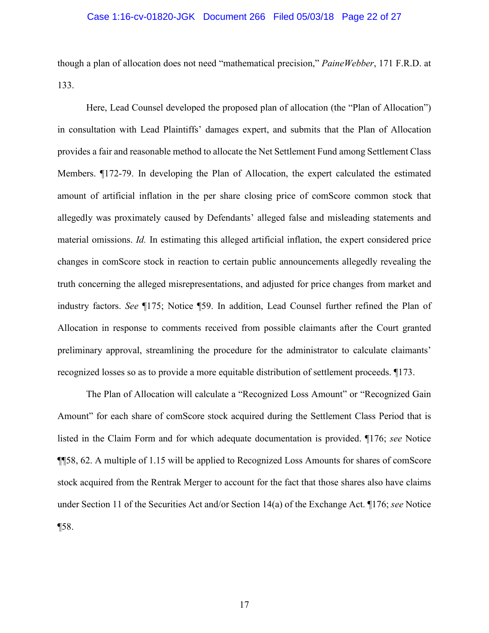### Case 1:16-cv-01820-JGK Document 266 Filed 05/03/18 Page 22 of 27

though a plan of allocation does not need "mathematical precision," PaineWebber, 171 F.R.D. at 133.

Here, Lead Counsel developed the proposed plan of allocation (the "Plan of Allocation") in consultation with Lead Plaintiffs' damages expert, and submits that the Plan of Allocation provides a fair and reasonable method to allocate the Net Settlement Fund among Settlement Class Members. ¶172-79. In developing the Plan of Allocation, the expert calculated the estimated amount of artificial inflation in the per share closing price of comScore common stock that allegedly was proximately caused by Defendants' alleged false and misleading statements and material omissions. *Id*. In estimating this alleged artificial inflation, the expert considered price changes in comScore stock in reaction to certain public announcements allegedly revealing the truth concerning the alleged misrepresentations, and adjusted for price changes from market and industry factors. See ¶175; Notice ¶59. In addition, Lead Counsel further refined the Plan of Allocation in response to comments received from possible claimants after the Court granted preliminary approval, streamlining the procedure for the administrator to calculate claimants' recognized losses so as to provide a more equitable distribution of settlement proceeds. 1173.

The Plan of Allocation will calculate a "Recognized Loss Amount" or "Recognized Gain Amount" for each share of comScore stock acquired during the Settlement Class Period that is listed in the Claim Form and for which adequate documentation is provided. 176; see Notice **[158, 62. A multiple of 1.15 will be applied to Recognized Loss Amounts for shares of comScore** stock acquired from the Rentrak Merger to account for the fact that those shares also have claims under Section 11 of the Securities Act and/or Section 14(a) of the Exchange Act. 176; see Notice  $\P$ 58.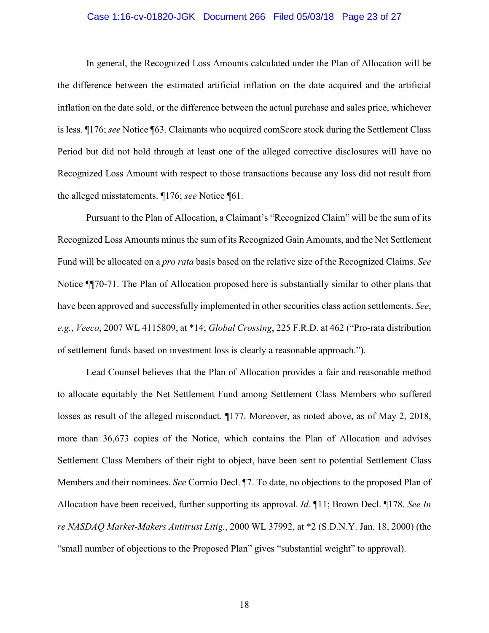# Case 1:16-cv-01820-JGK Document 266 Filed 05/03/18 Page 23 of 27

In general, the Recognized Loss Amounts calculated under the Plan of Allocation will be the difference between the estimated artificial inflation on the date acquired and the artificial inflation on the date sold, or the difference between the actual purchase and sales price, whichever is less.  $\P$ 176; see Notice  $\P$ 63. Claimants who acquired com Score stock during the Settlement Class Period but did not hold through at least one of the alleged corrective disclosures will have no Recognized Loss Amount with respect to those transactions because any loss did not result from the alleged misstatements.  $\P$ 176; see Notice  $\P$ 61.

Pursuant to the Plan of Allocation, a Claimant's "Recognized Claim" will be the sum of its Recognized Loss Amounts minus the sum of its Recognized Gain Amounts, and the Net Settlement Fund will be allocated on a *pro rata* basis based on the relative size of the Recognized Claims. See Notice  $\P$ [70-71. The Plan of Allocation proposed here is substantially similar to other plans that have been approved and successfully implemented in other securities class action settlements. See, e.g., Veeco, 2007 WL 4115809, at \*14; Global Crossing, 225 F.R.D. at 462 ("Pro-rata distribution of settlement funds based on investment loss is clearly a reasonable approach.").

Lead Counsel believes that the Plan of Allocation provides a fair and reasonable method to allocate equitably the Net Settlement Fund among Settlement Class Members who suffered losses as result of the alleged misconduct.  $\P$ 177. Moreover, as noted above, as of May 2, 2018, more than 36,673 copies of the Notice, which contains the Plan of Allocation and advises Settlement Class Members of their right to object, have been sent to potential Settlement Class Members and their nominees. See Cormio Decl. ¶7. To date, no objections to the proposed Plan of Allocation have been received, further supporting its approval. *Id.*  $\P$ 11; Brown Decl.  $\P$ 178. See In re NASDAQ Market-Makers Antitrust Litig., 2000 WL 37992, at  $*2$  (S.D.N.Y. Jan. 18, 2000) (the "small number of objections to the Proposed Plan" gives "substantial weight" to approval).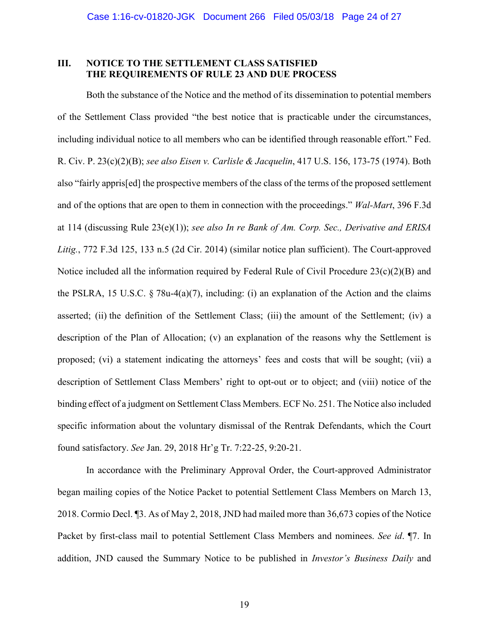### III. **NOTICE TO THE SETTLEMENT CLASS SATISFIED** THE REOUIREMENTS OF RULE 23 AND DUE PROCESS

Both the substance of the Notice and the method of its dissemination to potential members of the Settlement Class provided "the best notice that is practicable under the circumstances, including individual notice to all members who can be identified through reasonable effort." Fed. R. Civ. P. 23(c)(2)(B); see also Eisen v. Carlisle & Jacquelin, 417 U.S. 156, 173-75 (1974). Both also "fairly apprisfed] the prospective members of the class of the terms of the proposed settlement and of the options that are open to them in connection with the proceedings." Wal-Mart, 396 F.3d at 114 (discussing Rule  $23(e)(1)$ ); see also In re Bank of Am. Corp. Sec., Derivative and ERISA Litig., 772 F.3d 125, 133 n.5 (2d Cir. 2014) (similar notice plan sufficient). The Court-approved Notice included all the information required by Federal Rule of Civil Procedure  $23(c)(2)(B)$  and the PSLRA, 15 U.S.C.  $\S$  78u-4(a)(7), including: (i) an explanation of the Action and the claims asserted; (ii) the definition of the Settlement Class; (iii) the amount of the Settlement; (iv) a description of the Plan of Allocation; (v) an explanation of the reasons why the Settlement is proposed; (vi) a statement indicating the attorneys' fees and costs that will be sought; (vii) a description of Settlement Class Members' right to opt-out or to object; and (viii) notice of the binding effect of a judgment on Settlement Class Members. ECF No. 251. The Notice also included specific information about the voluntary dismissal of the Rentrak Defendants, which the Court found satisfactory. See Jan. 29, 2018 Hr'g Tr. 7:22-25, 9:20-21.

In accordance with the Preliminary Approval Order, the Court-approved Administrator began mailing copies of the Notice Packet to potential Settlement Class Members on March 13, 2018. Cormio Decl. 13. As of May 2, 2018, JND had mailed more than 36,673 copies of the Notice Packet by first-class mail to potential Settlement Class Members and nominees. See id. 17. In addition, JND caused the Summary Notice to be published in *Investor's Business Daily* and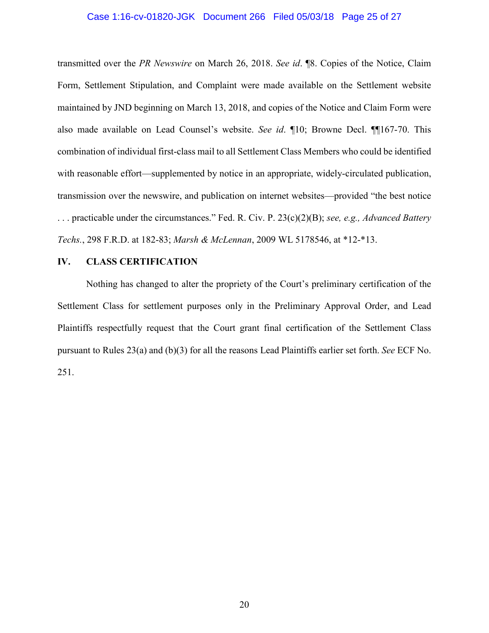### Case 1:16-cv-01820-JGK Document 266 Filed 05/03/18 Page 25 of 27

transmitted over the PR Newswire on March 26, 2018. See id.  $\mathbb{R}$ . Copies of the Notice, Claim Form, Settlement Stipulation, and Complaint were made available on the Settlement website maintained by JND beginning on March 13, 2018, and copies of the Notice and Claim Form were also made available on Lead Counsel's website. See id.  $\P$ 10; Browne Decl.  $\P$  $\P$ 167-70. This combination of individual first-class mail to all Settlement Class Members who could be identified with reasonable effort—supplemented by notice in an appropriate, widely-circulated publication, transmission over the newswire, and publication on internet websites—provided "the best notice ... practicable under the circumstances." Fed. R. Civ. P.  $23(c)(2)(B)$ ; see, e.g., Advanced Battery Techs., 298 F.R.D. at 182-83; Marsh & McLennan, 2009 WL 5178546, at \*12-\*13.

## IV. CLASS CERTIFICATION

Nothing has changed to alter the propriety of the Court's preliminary certification of the Settlement Class for settlement purposes only in the Preliminary Approval Order, and Lead Plaintiffs respectfully request that the Court grant final certification of the Settlement Class pursuant to Rules  $23(a)$  and (b)(3) for all the reasons Lead Plaintiffs earlier set forth. See ECF No. 251.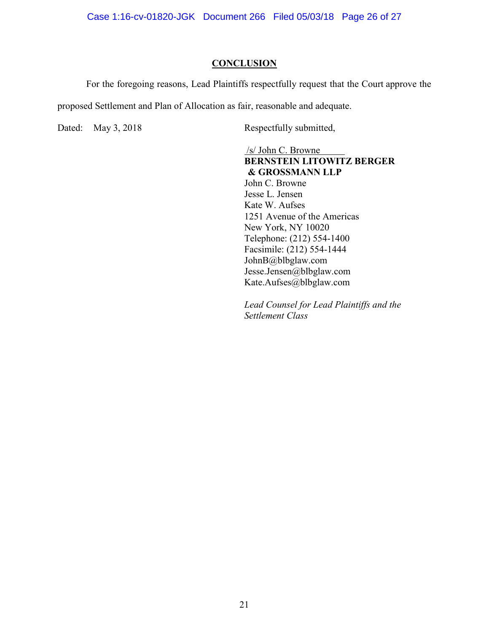Case 1:16-cv-01820-JGK Document 266 Filed 05/03/18 Page 26 of 27

### **CONCLUSION**

For the foregoing reasons, Lead Plaintiffs respectfully request that the Court approve the

proposed Settlement and Plan of Allocation as fair, reasonable and adequate.

Dated: May 3, 2018

Respectfully submitted,

 $/s/$  John C. Browne **BERNSTEIN LITOWITZ BERGER** & GROSSMANN LLP John C. Browne Jesse L. Jensen Kate W. Aufses 1251 Avenue of the Americas New York, NY 10020 Telephone: (212) 554-1400 Facsimile: (212) 554-1444 JohnB@blbglaw.com Jesse.Jensen@blbglaw.com Kate.Aufses@blbglaw.com

Lead Counsel for Lead Plaintiffs and the Settlement Class